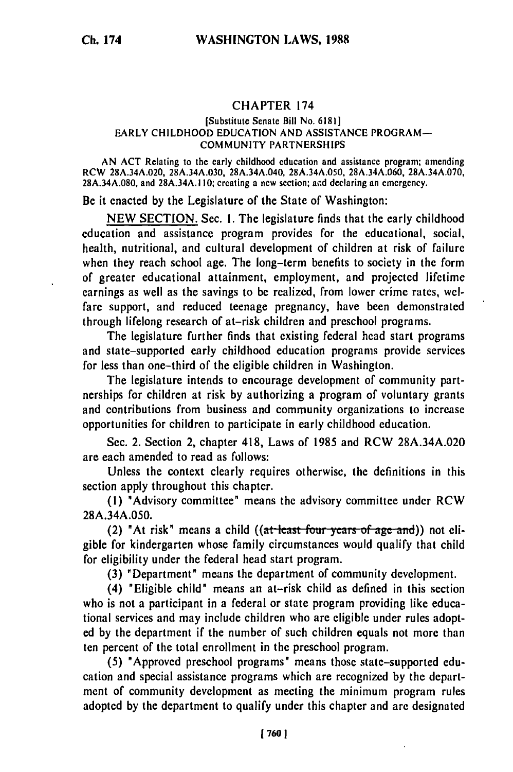## CHAPTER **174**

## [Substitute Senate Bill No. 6181] EARLY CHILDHOOD EDUCATION AND ASSISTANCE PROGRAM-COMMUNITY PARTNERSHIPS

AN ACT Relating to the early childhood education and assistance program; amending RCW 28A.34A.020, 28A.34A.030, 28A.34A.040, 28A.34A.050, 28A.34A.060, 28A.34A.070, **28A.34A.080,** and **28A.34A.I** 10; creating a new section; ard declaring an emergency.

Be it enacted by the Legislature of the State of Washington:

NEW SECTION. Sec. 1. The legislature finds that the early childhood education and assistance program provides for the educational, social, health, nutritional, and cultural development of children at risk of failure when they reach school age. The long-term benefits to society in the form of greater educational attainment, employment, and projected lifetime earnings as well as the savings to be realized, from lower crime rates, welfare support, and reduced teenage pregnancy, have been demonstrated through lifelong research of at-risk children and preschool programs.

The legislature further finds that existing federal head start programs and state-supported early childhood education programs provide services for less than one-third of the eligible children in Washington.

The legislature intends to encourage development of community partnerships for children at risk by authorizing a program of voluntary grants and contributions from business and community organizations to increase opportunities for children to participate in early childhood education.

Sec. 2. Section 2, chapter 418, Laws of 1985 and RCW 28A.34A.020 are each amended to read as follows:

Unless the context clearly requires otherwise, the definitions in this section apply throughout this chapter.

**(1)** "Advisory committee' means the advisory committee under RCW **28A.34A.050.**

(2) "At risk" means a child ((at least four years of age and)) not eligible for kindergarten whose family circumstances would qualify that child for eligibility under the federal head start program.

(3) 'Department" means the department of community development.

(4) 'Eligible child" means an at-risk child as defined in this section who is not a participant in a federal or state program providing like educational services and may include children who are eligible under rules adopted by the department if the number of such children equals not more than ten percent of the total enrollment in the preschool program.

(5) 'Approved preschool programs" means those state-supported education and special assistance programs which are recognized by the department of community development as meeting the minimum program rules adopted by the department to qualify under this chapter and are designated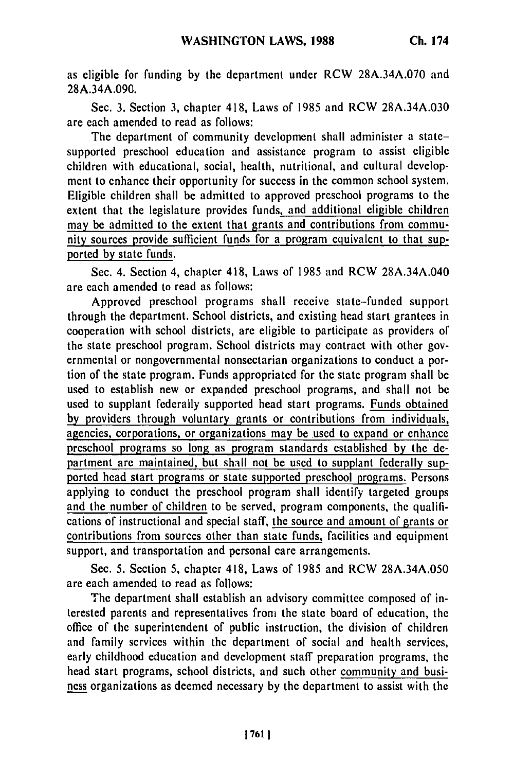as eligible for funding by the department under RCW 28A.34A.070 and 28A.34A.090.

Sec. 3. Section 3, chapter 418, Laws of 1985 and RCW 28A.34A.030 are each amended to read as follows:

The department of community development shall administer a statesupported preschool education and assistance program to assist eligible children with educational, social, health, nutritional, and cultural development to enhance their opportunity for success in the common school system. Eligible children shall be admitted to approved preschool programs to the extent that the legislature provides funds, and additional eligible children may be admitted to the extent that grants and contributions from community sources provide sufficient funds for a program equivalent to that supported by state funds.

Sec. 4. Section 4, chapter 418, Laws of 1985 and RCW 28A.34A.040 are each amended to read as follows:

Approved preschool programs shall receive state-funded support through the department. School districts, and existing head start grantees in cooperation with school districts, are eligible to participate as providers of the state preschool program. School districts may contract with other governmental or nongovernmental nonsectarian organizations to conduct a portion of the state program. Funds appropriated for the state program shall be used to establish new or expanded preschool programs, and shall not be used to supplant federally supported head start programs. Funds obtained by providers through voluntary grants or contributions from individuals, agencies, corporations, or organizations may be used to expand or enhance preschool programs so long as program standards established by the department are maintained, but shall not be used to supplant federally supported head start programs or state supported preschool programs. Persons applying to conduct the preschool program shall identify targeted groups and the number of children to be served, program components, the qualifications of instructional and special staff, the source and amount of grants or contributions from sources other than state funds, facilities and equipment support, and transportation and personal care arrangements.

Sec. 5. Section 5, chapter 418, Laws of 1985 and RCW 28A.34A.050 are each amended to read as follows:

The department shall establish an advisory committee composed of interested parents and representatives from the state board of education, the office of the superintendent of public instruction, the division of children and family services within the department of social and health services, early childhood education and development staff preparation programs, the head start programs, school districts, and such other community and business organizations as deemed necessary by the department to assist with the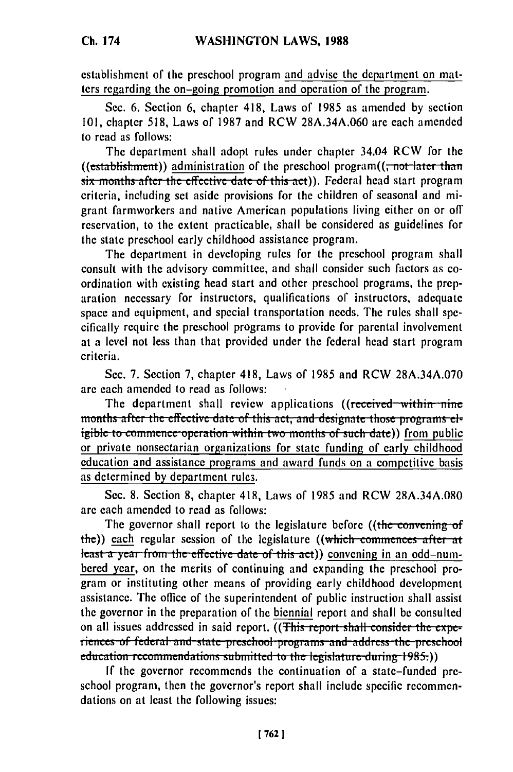establishment of the preschool program and advise the department on matters regarding the on-going promotion and operation of the program.

Sec. 6. Section 6, chapter 418, Laws of 1985 as amended by section 101, chapter 518, Laws of 1987 and RCW 28A.34A.060 are each amended to read as follows:

The department shall adopt rules under chapter 34.04 RCW for the (( $estability$ ) administration of the preschool program( $\left(\frac{1}{\pi} + \frac{1}{\pi} + \frac{1}{\pi}\right)$ ) administration of the preschool program( $\left(\frac{1}{\pi} + \frac{1}{\pi}\right)$ ) six months after the effective date of this act). Federal head start program criteria, including set aside provisions for the children of seasonal and migrant farmworkers and native American populations living either on or off reservation, to the extent practicable, shall be considered as guidelines for the state preschool early childhood assistance program.

The department in developing rules for the preschool program shall consult with the advisory committee, and shall consider such factors as coordination with existing head start and other preschool programs, the preparation necessary for instructors, qualifications of instructors, adequate space and equipment, and special transportation needs. The rules shall specifically require the preschool programs to provide for parental involvement at a level not less than that provided under the federal head start program criteria.

Sec. 7. Section 7, chapter 418, Laws of 1985 and RCW 28A.34A.070 are each amended to read as follows:

The department shall review applications ((received within nine months after the effective date of this act, and designate those programs el**igible to commence operation within two months of such date)) from public** or private nonsectarian organizations for state funding of early childhood education and assistance programs and award funds on a competitive basis as determined by department rules.

Sec. 8. Section 8, chapter 418, Laws of 1985 and RCW 28A.34A.080 are each amended to read as follows:

The governor shall report to the legislature before ((the convening of the)) each regular session of the legislature ((which commences after at least a year from the effective date of this act)) convening in an odd-numbered year, on the merits of continuing and expanding the preschool program or instituting other means of providing early childhood development assistance. The office of the superintendent of public instruction shall assist the governor in the preparation of the biennial report and shall be consulted on all issues addressed in said report. ((This report shall consider the experiences of federal and state preschool programs and address the preschool education recommendations submitted to the legislature during 1985.))

If the governor recommends the continuation of a state-funded preschool program, then the governor's report shall include specific recommendations on at least the following issues: